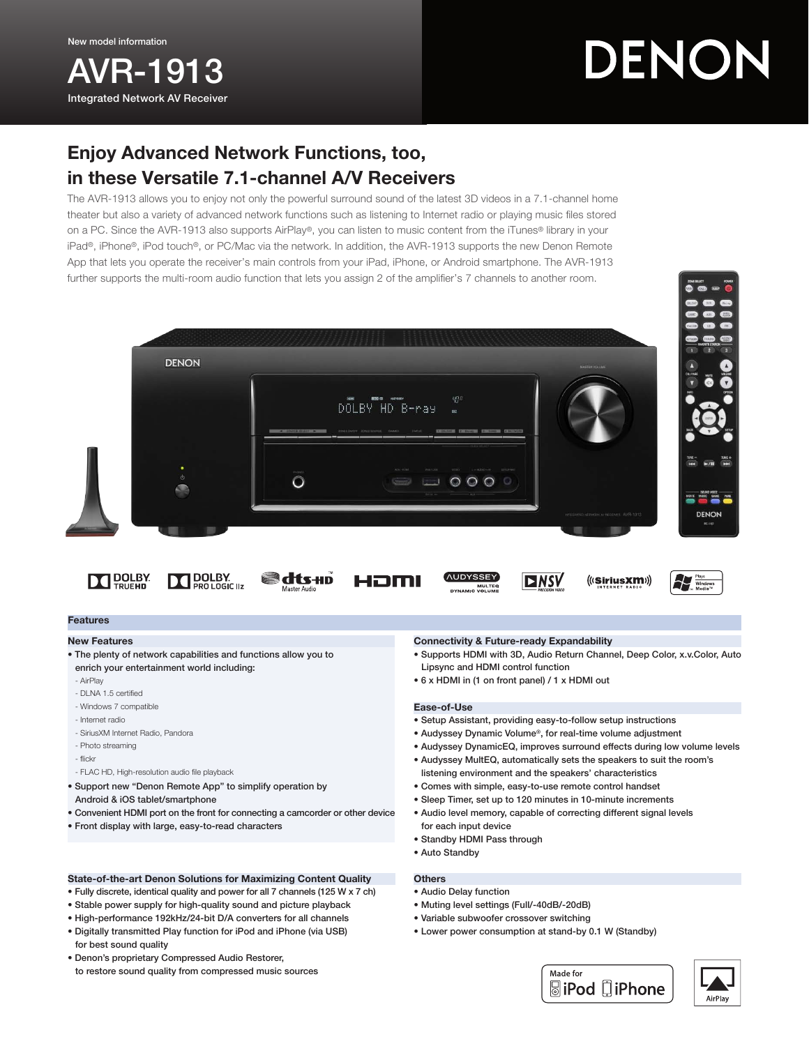AVR-1913 Integrated Network AV Receiver

# DENON

# Enjoy Advanced Network Functions, too, in these Versatile 7.1-channel A/V Receivers

The AVR-1913 allows you to enjoy not only the powerful surround sound of the latest 3D videos in a 7.1-channel home theater but also a variety of advanced network functions such as listening to Internet radio or playing music files stored on a PC. Since the AVR-1913 also supports AirPlay®, you can listen to music content from the iTunes® library in your iPad®, iPhone®, iPod touch®, or PC/Mac via the network. In addition, the AVR-1913 supports the new Denon Remote App that lets you operate the receiver's main controls from your iPad, iPhone, or Android smartphone. The AVR-1913 further supports the multi-room audio function that lets you assign 2 of the amplifier's 7 channels to another room.



Həmi



**The Street Wind** 

# Features

#### New Features

• The plenty of network capabilities and functions allow you to enrich your entertainment world including:

**DOLBY** 

**@dts+n** 

- AirPlay
- DLNA 1.5 certified
- Windows 7 compatible

**DOLBY** 

- Internet radio
- SiriusXM Internet Radio, Pandora
- Photo streaming
- flickr
- FLAC HD, High-resolution audio file playback
- Support new "Denon Remote App" to simplify operation by Android & iOS tablet/smartphone
- Convenient HDMI port on the front for connecting a camcorder or other device
- Front display with large, easy-to-read characters

# State-of-the-art Denon Solutions for Maximizing Content Quality

- Fully discrete, identical quality and power for all 7 channels (125 W x 7 ch)
- Stable power supply for high-quality sound and picture playback
- High-performance 192kHz/24-bit D/A converters for all channels
- Digitally transmitted Play function for iPod and iPhone (via USB) for best sound quality
- Denon's proprietary Compressed Audio Restorer, to restore sound quality from compressed music sources

# Connectivity & Future-ready Expandability

• Supports HDMI with 3D, Audio Return Channel, Deep Color, x.v.Color, Auto Lipsync and HDMI control function

(((SiriusXM))

• 6 x HDMI in (1 on front panel) / 1 x HDMI out

# Ease-of-Use

**AUDYSSEY** 

MULTE

• Setup Assistant, providing easy-to-follow setup instructions

**DNSV** 

- Audyssey Dynamic Volume®, for real-time volume adjustment
- Audyssey DynamicEQ, improves surround effects during low volume levels
- Audyssey MultEQ, automatically sets the speakers to suit the room's listening environment and the speakers' characteristics
- Comes with simple, easy-to-use remote control handset
- Sleep Timer, set up to 120 minutes in 10-minute increments
- Audio level memory, capable of correcting different signal levels for each input device
- Standby HDMI Pass through
- Auto Standby

# **Others**

- Audio Delay function
- Muting level settings (Full/-40dB/-20dB)
- Variable subwoofer crossover switching
- Lower power consumption at stand-by 0.1 W (Standby)